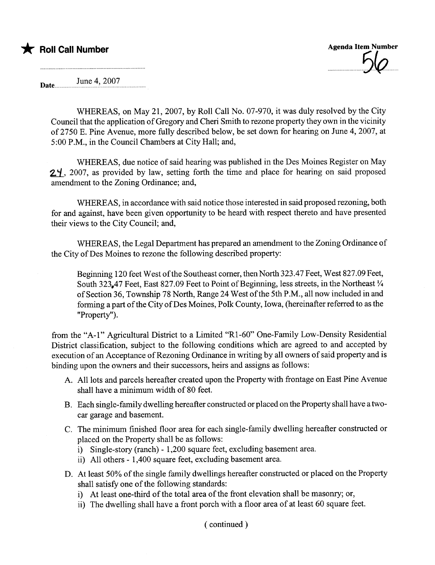# \* Roll Call Number =~n~d it~gGbed



June 4,2007 Date....

> WHEREAS, on May 21,2007, by Roll Call No. 07-970, it was duly resolved by the City Council that the application of Gregory and Cheri Smith to rezone property they own in the vicinity of2750 E. Pine Avenue, more fully described below, be set down for hearing on June 4,2007, at 5:00 P.M., in the Council Chambers at City Hall; and,

> WHEREAS, due notice of said hearing was published in the Des Moines Register on May  $2\frac{1}{2}$ , 2007, as provided by law, setting forth the time and place for hearing on said proposed amendment to the Zoning Ordinance; and,

> WHEREAS, in accordance with said notice those interested in said proposed rezoning, both for and against, have been given opportunity to be heard with respect thereto and have presented their views to the City Council; and,

> WHEREAS, the Legal Department has prepared an amendment to the Zoning Ordinance of the City of Des Moines to rezone the following described property:

Beginning 120 feet West of the Southeast corner, then North 323.47 Feet, West 827.09 Feet, South 323.47 Feet, East 827.09 Feet to Point of Beginning, less streets, in the Northeast  $\frac{1}{4}$ of Section 36, Township 78 North, Range 24 West of the 5th P.M., all now included in and forming a part of the City of Des Moines, Polk County, Iowa, (hereinafter referred to as the "Property").

from the "A-1" Agricultural District to a Limited "R1-60" One-Family Low-Density Residential District classification, subject to the following conditions which are agreed to and accepted by execution of an Acceptance of Rezoning Ordinance in wrting by all owners of said property and is binding upon the owners and their successors, heirs and assigns as follows:

- A. All lots and parcels hereafter created upon the Property with frontage on East Pine Avenue shall have a minimum width of 80 feet.
- B. Each single-family dwelling hereafter constructed or placed on the Property shall have a twocar garage and basement.
- C. The minimum finished floor area for each single-family dwelling hereafter constructed or placed on the Property shall be as follows:
	- i) Single-story (ranch) 1,200 square feet, excluding basement area.
	- ii) All others 1,400 square feet, excluding basement area.
- D. At least 50% of the single family dwellings hereafter constructed or placed on the Property shall satisfy one of the following standards:
	- i) At least one-third of the total area of the front elevation shall be masonry; or,
	- ii) The dwelling shall have a front porch with a floor area of at least 60 square feet.

( continued)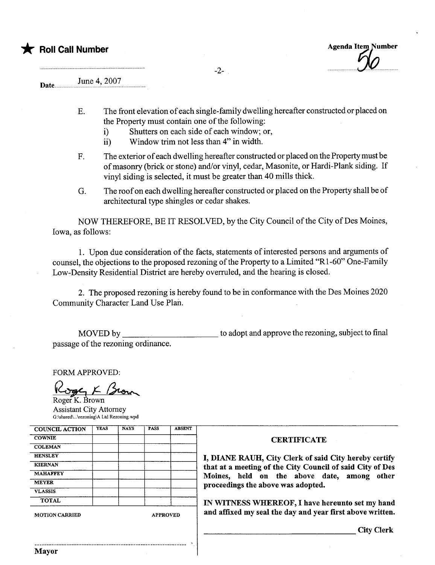

**Agenda Item Number** 

#### June 4, 2007 Date...

E. The front elevation of each single-family dwelling hereafter constructed or placed on the Property must contain one of the following:

 $-2-$ 

- i) Shutters on each side of each window; or,
- ii) Window trim not less than 4" in width.
- F. The exterior of each dwelling hereafter constructed or placed on the Property must be of masonry (brick or stone) and/or vinyl, cedar, Masonite, or Hardi-Plank siding. If vinyl siding is selected, it must be greater than 40 mills thick.
- G. The roof on each dwelling hereafter constructed or placed on the Property shall be of architectural type shingles or cedar shakes.

NOW THEREFORE, BE IT RESOLVED, by the City Council of the City of Des Moines, Iowa, as follows:

1. Upon due consideration of the facts, statements of interested persons and arguments of counsel, the objections to the proposed rezoning of the Property to a Limited "RI-60" One-Family Low-Density Residential District are hereby overruled, and the hearing is closed.

2. The proposed rezoning is hereby found to be in conformance with the Des Moines 2020 Community Character Land Use Plan.

MOVED by passage of the rezoning ordinance. to adopt and approve the rezoning, subject to final

FORM APPROVED:

FORM APPROVED:<br>Cogs K. Brown

Roger K. Brown Assistant City Attorney G:\shared\...\rezoninglA Ltd Rezonig.wpd

| <b>COUNCIL ACTION</b> | <b>YEAS</b> | <b>NAYS</b>     | <b>PASS</b> | <b>ABSENT</b> |
|-----------------------|-------------|-----------------|-------------|---------------|
| <b>COWNIE</b>         |             |                 |             |               |
| <b>COLEMAN</b>        |             |                 |             |               |
| <b>HENSLEY</b>        |             |                 |             |               |
| <b>KIERNAN</b>        |             |                 |             |               |
| <b>MAHAFFEY</b>       |             |                 |             |               |
| <b>MEYER</b>          |             |                 |             |               |
| <b>VLASSIS</b>        |             |                 |             |               |
| <b>TOTAL</b>          |             |                 |             |               |
| <b>MOTION CARRIED</b> |             | <b>APPROVED</b> |             |               |

..........................................................................................

Mayor

#### **CERTIFICATE**

I, DIANE RAUH, City Clerk of said City hereby certify that at a meeting of the City Council of said City of Des Moines, held on the above date, among other proceedings the above was adopted.

IN WITNESS WHEREOF, I have hereunto set my hand and affixed my seal the day and year first above written.

City Clerk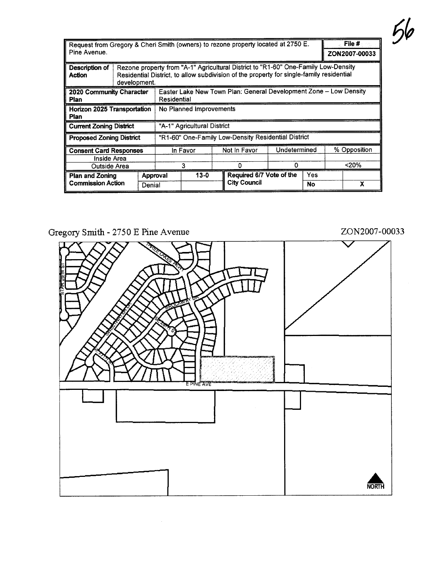| Pine Avenue.                        |              |                                                     |                                                                                  |          | Request from Gregory & Cheri Smith (owners) to rezone property located at 2750 E.                                                                                              |  |              | File #<br>ZON2007-00033 |   |
|-------------------------------------|--------------|-----------------------------------------------------|----------------------------------------------------------------------------------|----------|--------------------------------------------------------------------------------------------------------------------------------------------------------------------------------|--|--------------|-------------------------|---|
| <b>Description of</b><br>Action     | development. |                                                     |                                                                                  |          | Rezone property from "A-1" Agricultural District to "R1-60" One-Family Low-Density<br>Residential District, to allow subdivision of the property for single-family residential |  |              |                         |   |
| 2020 Community Character<br>Plan    |              |                                                     | Easter Lake New Town Plan: General Development Zone - Low Density<br>Residential |          |                                                                                                                                                                                |  |              |                         |   |
| Horizon 2025 Transportation<br>Plan |              | No Planned Improvements                             |                                                                                  |          |                                                                                                                                                                                |  |              |                         |   |
| <b>Current Zoning District</b>      |              | "A-1" Agricultural District                         |                                                                                  |          |                                                                                                                                                                                |  |              |                         |   |
| <b>Proposed Zoning District</b>     |              | "R1-60" One-Family Low-Density Residential District |                                                                                  |          |                                                                                                                                                                                |  |              |                         |   |
| <b>Consent Card Responses</b>       |              |                                                     | Not In Favor<br>In Favor                                                         |          | Undetermined                                                                                                                                                                   |  | % Opposition |                         |   |
| Inside Area                         |              |                                                     |                                                                                  |          |                                                                                                                                                                                |  |              |                         |   |
| Outside Area                        |              | 3                                                   |                                                                                  | n        | 0                                                                                                                                                                              |  | 20%          |                         |   |
| <b>Plan and Zoning</b>              | Approval     |                                                     |                                                                                  | $13 - 0$ | Required 6/7 Vote of the                                                                                                                                                       |  | <b>Yes</b>   |                         |   |
| <b>Commission Action</b>            |              | Denial                                              |                                                                                  |          | <b>City Council</b>                                                                                                                                                            |  | No           |                         | X |

Gregory Smith - 2750 E Pine Avenue





 $\sim$ 

 $56$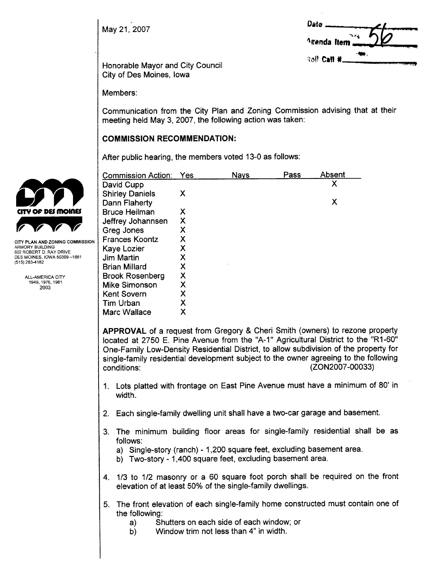May 21,2007

| ٠                      |  |
|------------------------|--|
| Date                   |  |
| <sup>Agenda</sup> Item |  |
| Roll Call #.           |  |

Honorable Mayor and City Council City of Des Moines, Iowa

Members:

Communication from the City Plan and Zoning Commission advising that at their meeting held May 3, 2007, the following action was taken:

# COMMISSION RECOMMENDATION:

After public hearing, the members voted 13-0 as follows:

|                                               | <b>Commission Action:</b> | Yes | <b>Nays</b> | Pass | Absent |
|-----------------------------------------------|---------------------------|-----|-------------|------|--------|
|                                               | David Cupp                |     |             |      | Χ      |
|                                               | <b>Shirley Daniels</b>    | X   |             |      |        |
|                                               | Dann Flaherty             |     |             |      | X      |
| <b>CITY OF DES MOINES</b>                     | <b>Bruce Heilman</b>      | Χ   |             |      |        |
|                                               | Jeffrey Johannsen         | Χ   |             |      |        |
|                                               | Greg Jones                | X   |             |      |        |
| <b>CITY PLAN AND ZONING COMMISSION</b>        | <b>Frances Koontz</b>     | Χ   |             |      |        |
| ARMORY BUILDING<br>602 ROBERT D. RAY DRIVE    | Kaye Lozier               |     |             |      |        |
| DES MOINES. IOWA 50309-1881<br>(515) 283-4182 | Jim Martin                | χ   |             |      |        |
|                                               | <b>Brian Millard</b>      | Χ   |             |      |        |
| ALL-AMERICA CITY                              | <b>Brook Rosenberg</b>    | Χ   |             |      |        |
| 1949, 1976, 1981<br>2003                      | Mike Simonson             | Χ   |             |      |        |
|                                               | Kent Sovern               | Χ   |             |      |        |
|                                               | Tim Urban                 | χ   |             |      |        |
|                                               | <b>Marc Wallace</b>       | Χ   |             |      |        |

APPROVAL of a request from Gregory & Cheri Smith (owners) to rezone property located at 2750 E. Pine Avenue from the "A-1" Agricultural District to the "R1-60" One-Family Low-Density Residential District, to allow subdivision of the property for single-family residential development subject to the owner agreeing to the following conditions: (ZON2007 -00033)

- 1. Lots platted with frontage on East Pine Avenue must have a minimum of 80' in width.
- 2. Each single-family dwelling unit shall have a two-car garage and basement.
- 3. The minimum building floor areas for single-family residential shall be as follows:
	- a) Single-story (ranch) 1,200 square feet, excluding basement area.
	- b) Two-story 1,400 square feet, excluding basement area.
- 4. 1/3 to 1/2 masonry or a 50 square foot porch shall be required on the front elevation of at least 50% of the single-family dwellings.
- 5. The front elevation of each single-family home constructed must contain one of the following:
	- a) Shutters on each side of each window; or
	- b) Window trim not less than 4" in width.

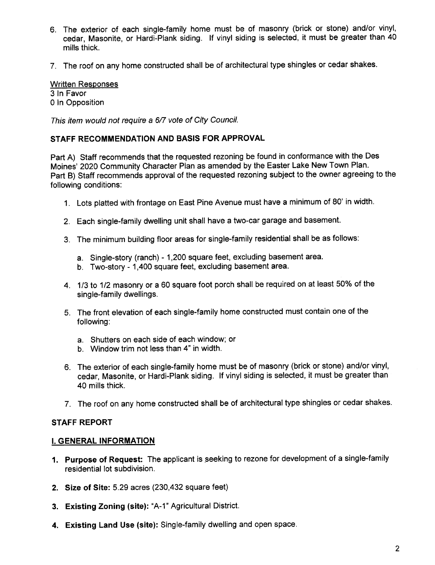- 6. The exterior of each single-family home must be of masonry (brick or stone) and/or vinyl, cedar, Masonite, or Hardi-Plank siding. If vinyl siding is selected, it must be greater than 40 mils thick.
- 7. The roof on any home constructed shall be of architectural type shingles or cedar shakes.

Written Responses 3 In Favor o In Opposition

This item would not require a 6/7 vote of City Council.

# STAFF RECOMMENDATION AND BASIS FOR APPROVAL

Part A) Staff recommends that the requested rezoning be found in conformance with the Des Moines' 2020 Community Character Plan as amended by the Easter Lake New Town Plan. Part B) Staff recommends approval of the requested rezoning subject to the owner agreeing to the following conditions:

- 1. Lots platted with frontage on East Pine Avenue must have a minimum of 80' in width.
- 2. Each single-family dwelling unit shall have a two-car garage and basement.
- 3. The minimum building floor areas for single-family residential shall be as follows:
	- a. Single-story (ranch) 1,200 square feet, excluding basement area.
	- b. Two-story 1,400 square feet, excluding basement area.
- 4. 1/3 to 1/2 masonry or a 60 square foot porch shall be required on at least 50% of the single-family dwellings.
- 5. The front elevation of each single-family home constructed must contain one of the following:
	- a. Shutters on each side of each window; or
	- b. Window trim not less than 4" in width.
- 6. The exterior of each single-family home must be of masonry (brick or stone) and/or vinyl, cedar, Masonite, or Hardi-Plank siding. If vinyl siding is selected, it must be greater than 40 mills thick.
- 7. The roof on any home constructed shall be of architectural type shingles or cedar shakes.

# STAFF REPORT

#### i. GENERAL INFORMATION

- 1. Purpose of Request: The applicant is seeking to rezone for development of a single-family residential lot subdivision.
- 2. Size of Site: 5.29 acres (230,432 square feet)
- 3. Existing Zoning (site): "A-1" Agricultural District.
- 4. Existing Land Use (site): Single-family dwelling and open space.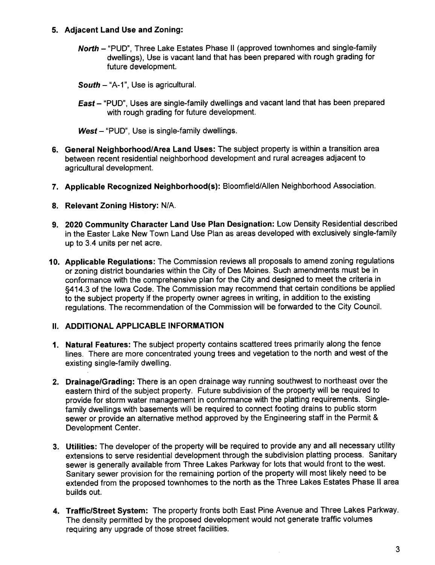# 5. Adjacent Land Use and Zoning:

- North "PUD". Three Lake Estates Phase II (approved townhomes and single-family dwellngs), Use is vacant land that has been prepared with rough grading for future development.
- South  $-$  "A-1", Use is agricultural.
- East "PUD", Uses are single-family dwellings and vacant land that has been prepared with rough grading for future development.
- $West "PUD"$ , Use is single-family dwellings.
- 6. General Neighborhood/Area Land Uses: The subject property is within a transition area between recent residential neighborhood development and rural acreages adjacent to agricultural development.
- 7. Applicable Recognized Neighborhood(s): Bloomfield/Allen Neighborhood Association.
- 8. Relevant Zoning History: N/A.
- 9. 2020 Community Character Land Use Plan Designation: Low Density Residential described in the Easter Lake New Town Land Use Plan as areas developed with exclusively single-family up to 3.4 units per net acre.
- 10. Applicable Regulations: The Commission reviews all proposals to amend zoning regulations or zoning district boundaries within the City of Des Moines. Such amendments must be in conformance with the comprehensive plan for the City and designed to meet the criteria in §414.3 of the Iowa Code. The Commission may recommend that certain conditions be applied to the subject property if the property owner agrees in writing, in addition to the existing regulations. The recommendation of the Commission will be forwarded to the City CounciL.

# II. ADDITIONAL APPLICABLE INFORMATION

- 1. Natural Features: The subject property contains scattered trees primarily along the fence lines. There are more concentrated young trees and vegetation to the north and west of the existing single-family dwelling.
- 2. Drainage/Grading: There is an open drainage way running southwest to northeast over the eastern third of the subject property. Future subdivision of the property wil be required to provide for storm water management in conformance with the platting requirements. Singlefamily dwellings with basements will be required to connect footing drains to public storm sewer or provide an alternative method approved by the Engineering staff in the Permit & Development Center.
- 3. Utilities: The developer of the property will be required to provide any and all necessary utility extensions to serve residential development through the subdivision platting process. Sanitary sewer is generally available from Three Lakes Parkway for lots that would front to the west. Sanitary sewer provision for the remaining portion of the property will most likely need to be extended from the proposed townhomes to the north as the Three Lakes Estates Phase II area builds out.
- 4. Traffic/Street System: The property fronts both East Pine Avenue and Three Lakes Parkway. The density permitted by the proposed development would not generate traffic volumes requiring any upgrade of those street facilties.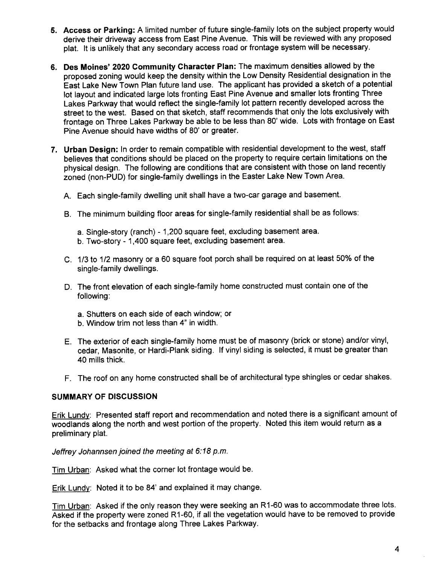- 5. Access or Parking: A limited number of future single-family lots on the subject property would derive their driveway access from East Pine Avenue. This will be reviewed with any proposed plat. It is unlikely that any secondary access road or frontage system will be necessary.
- 6. Des Moines' 2020 Community Character Plan: The maximum densities allowed by the proposed zoning would keep the density within the Low Density Residential designation in the East Lake New Town Plan future land use. The applicant has provided a sketch of a potential lot layout and indicated large lots fronting East Pine Avenue and smaller lots fronting Three Lakes Parkway that would reflect the single-family lot pattern recently developed across the street to the west. Based on that sketch, staff recommends that only the lots exclusively with frontage on Three Lakes Parkway be able to be less than 80' wide. Lots with frontage on East Pine Avenue should have widths of 80' or greater.
- 7. Urban Design: In order to remain compatible with residential development to the west, staff believes that conditions should be placed on the property to require certain limitations on the physical design. The following are conditions that are consistent with those on land recently zoned (non-PUD) for single-family dwellings in the Easter Lake New Town Area.
	- A. Each single-family dwelling unit shall have a two-car garage and basement.
	- B. The minimum building floor areas for single-family residential shall be as follows:
		- a. Single-story (ranch) 1,200 square feet, excluding basement area.
		- b. Two-story 1,400 square feet, excluding basement area.
	- C. 1/3 to 1/2 masonry or a 60 square foot porch shall be required on at least 50% of the single-family dwellings.
	- D. The front elevation of each single-family home constructed must contain one of the following:
		- a. Shutters on each side of each window; or
		- b. Window trim not less than 4" in width.
	- E. The exterior of each single-family home must be of masonry (brick or stone) and/or vinyl, cedar, Masonite, or Hardi-Plank siding. If vinyl siding is selected, it must be greater than 40 mills thick.
	- F. The roof on any home constructed shall be of architectural type shingles or cedar shakes.

# SUMMARY OF DISCUSSION

Erik Lundy: Presented staff report and recommendation and noted there is a significant amount of woodlands along the north and west portion of the property. Noted this item would return as a preliminary plat.

Jeffrey Johannsen joined the meeting at 6:18 p.m.

Tim Urban: Asked what the corner lot frontage would be.

Erik Lundy: Noted it to be 84' and explained it may change.

Tim Urban: Asked if the only reason they were seeking an R1-60 was to accommodate three lots. Asked if the property were zoned R1-60, if all the vegetation would have to be removed to provide for the setbacks and frontage along Three Lakes Parkway.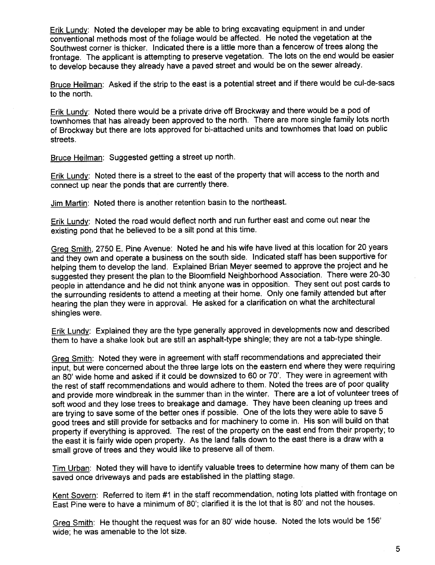Erik Lundy: Noted the developer may be able to bring excavating equipment in and under conventional methods most of the foliage would be affected. He noted the vegetation at the Southwest corner is thicker. Indicated there is a little more than a fencerow of trees along the frontage. The applicant is attempting to preserve vegetation. The lots on the end would be easier to develop because they already have a paved street and would be on the sewer already.

Bruce Heilman: Asked if the strip to the east is a potential street and if there would be cul-de-sacs to the north.

Erik Lundy: Noted there would be a private drive off Brockway and there would be a pod of townhomes that has already been approved to the north. There are more single family lots north of Brockway but there are lots approved for bi-attached units and town homes that load on public streets.

Bruce Heilman: Suggested getting a street up north.

Erik Lundy: Noted there is a street to the east of the property that will access to the north and connect up near the ponds that are currently there.

Jim Martin: Noted there is another retention basin to the northeast.

Erik Lundy: Noted the road would deflect north and run further east and come out near the existing pond that he believed to be a silt pond at this time.

Greg Smith, 2750 E. Pine Avenue: Noted he and his wife have lived at this location for 20 years and they own and operate a business on the south side. Indicated staff has been supportive for helping them to develop the land. Explained Brian Meyer seemed to approve the project and he suggested they present the plan to the Bloomfield Neighborhood Association. There were 20-30 people in attendance and he did not think anyone was in opposition. They sent out post cards to the surrounding residents to attend a meeting at their home. Only one family attended but after hearing the plan they were in approval. He asked for a clarification on what the architectural shingles were.

Erik Lundy: Explained they are the type generally approved in developments now and described them to have a shake look but are still an asphalt-type shingle; they are not a tab-type shingle.

Greg Smith: Noted they were in agreement with staff recommendations and appreciated their input, but were concerned about the three large lots on the eastern end where they were requiring an 80' wide home and asked if it could be downsized to 60 or 70'. They were in agreement with the rest of staff recommendations and would adhere to them. Noted the trees are of poor quality and provide more windbreak in the summer than in the winter. There are a lot of volunteer trees of soft wood and they lose trees to breakage and damage. They have been cleaning up trees and are trying to save some of the better ones if possible. One of the lots they were able to save 5 good trees and stil provide for setbacks and for machinery to come in. His son will build on that property if everything is approved. The rest of the property on the east end from their property; to the east it is fairly wide open property. As the land falls down to the east there is a draw with a small grove of trees and they would like to preserve all of them.

Tim Urban: Noted they will have to identify valuable trees to determine how many of them can be saved once driveways and pads are established in the platting stage.

Kent Sovern: Referred to item #1 in the staff recommendation, noting lots platted with frontage on East Pine were to have a minimum of 80'; clarified it is the lot that is 80' and not the houses.

Greg Smith: He thought the request was for an 80' wide house. Noted the lots would be 156' wide; he was amenable to the lot size.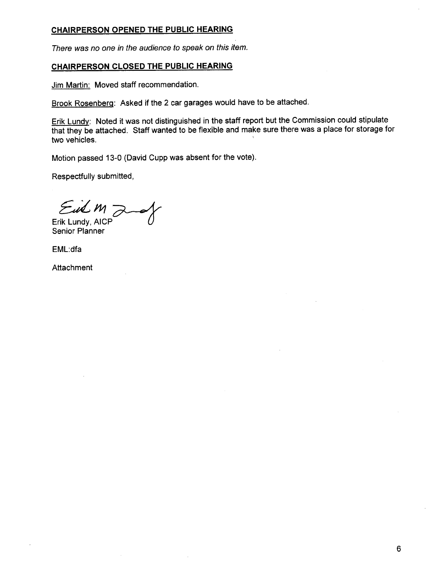# CHAIRPERSON OPENED THE PUBLIC HEARING

There was no one in the audience to speak on this item.

### CHAIRPERSON CLOSED THE PUBLIC HEARING

Jim Martin: Moved staff recommendation.

Brook RosenberQ: Asked if the 2 car garages would have to be attached.

Erik Lundy: Noted it was not distinguished in the staff report but the Commission could stipulate that they be attached. Staff wanted to be flexible and make sure there was a place for storage for two vehicles.

Motion passed 13-0 (David Cupp was absent for the vote).

Respectfully submitted,

 $\mathcal{E}_{\mu}$ le M Erik Lundy, AICP $\bigcirc$  (

Senior Planner

EML:dfa

**Attachment**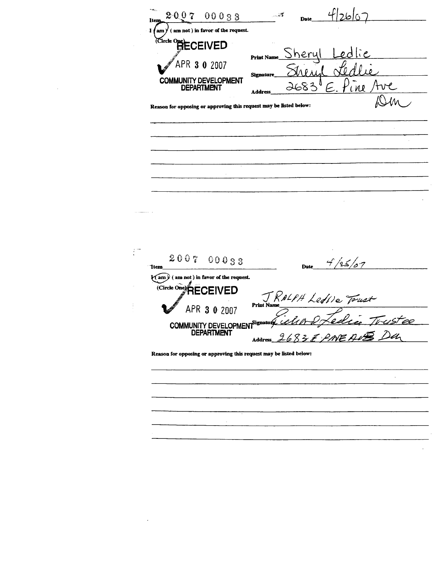$412667$  $200700033$  $\ldots$   $\mathbb{Z}^d$ Date\_ Item (am not) in favor of the request.  $\mathbf{a}$ m) Circle OpenCEIVED <u>Sheryl</u> **Print Name**  $^{\prime}$ APR 302007  $\sqrt{1011}$ Signature **COMMUNITY DEVELOPMENT**  $\tilde{\mathcal{F}}$ **DEPARTMENT** 268 Address Reason for opposing or approving this request may be listed below:  $2007$ 00033  $4/15/07$ Date "Item  $\sqrt{am}$  (am not) in favor of the request. Circle One) RECEIVED m Name Celit Ledite Toust Print APR 3 0 2007 COMMUNITY DEVELOPMENT Signature **DEPARTMENT** 2683 & PAVE AUS **Address** Reason for opposing or approving this request may be listed below: L.

 $\mathbb{R}^m$